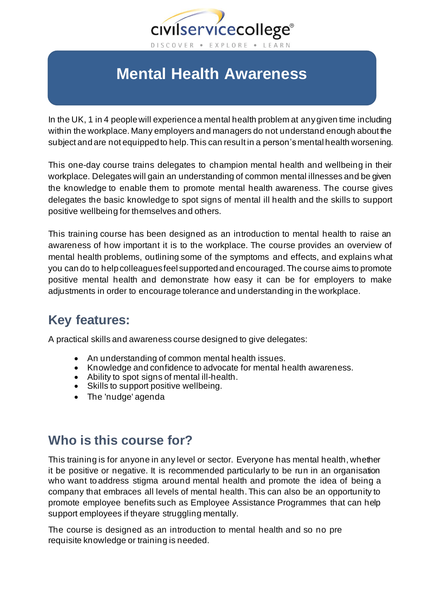

# **Mental Health Awareness**

In the UK, 1 in 4 people will experience a mental health problem at any given time including within the workplace. Many employers and managers do not understand enough about the subject and are not equipped to help.This can result in a person'smental health worsening.

This one-day course trains delegates to champion mental health and wellbeing in their workplace. Delegates will gain an understanding of common mental illnesses and be given the knowledge to enable them to promote mental health awareness. The course gives delegates the basic knowledge to spot signs of mental ill health and the skills to support positive wellbeing for themselves and others.

This training course has been designed as an introduction to mental health to raise an awareness of how important it is to the workplace. The course provides an overview of mental health problems, outlining some of the symptoms and effects, and explains what you can do to help colleagues feel supported and encouraged. The course aims to promote positive mental health and demonstrate how easy it can be for employers to make adjustments in order to encourage tolerance and understanding in the workplace.

#### **Key features:**

A practical skills and awareness course designed to give delegates:

- An understanding of common mental health issues.
- Knowledge and confidence to advocate for mental health awareness.
- Ability to spot signs of mental ill-health.
- Skills to support positive wellbeing.
- The 'nudge' agenda

#### **Who is this course for?**

This training is for anyone in any level or sector. Everyone has mental health, whether it be positive or negative. It is recommended particularly to be run in an organisation who want to address stigma around mental health and promote the idea of being a company that embraces all levels of mental health. This can also be an opportunity to promote employee benefits such as Employee Assistance Programmes that can help support employees if theyare struggling mentally.

The course is designed as an introduction to mental health and so no pre requisite knowledge or training is needed.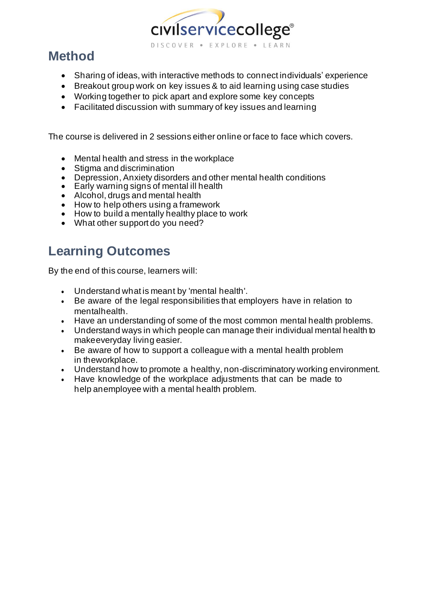

## **Method**

- Sharing of ideas, with interactive methods to connect individuals' experience
- Breakout group work on key issues & to aid learning using case studies
- Working together to pick apart and explore some key concepts
- Facilitated discussion with summary of key issues and learning

The course is delivered in 2 sessions either online or face to face which covers.

- Mental health and stress in the workplace
- Stigma and discrimination
- Depression, Anxiety disorders and other mental health conditions
- Early warning signs of mental ill health
- Alcohol, drugs and mental health
- How to help others using a framework
- How to build a mentally healthy place to work
- What other support do you need?

## **Learning Outcomes**

By the end of this course, learners will:

- Understand what is meant by 'mental health'.
- Be aware of the legal responsibilities that employers have in relation to mentalhealth.
- Have an understanding of some of the most common mental health problems.
- Understand ways in which people can manage their individual mental health to makeeveryday living easier.
- Be aware of how to support a colleague with a mental health problem in theworkplace.
- Understand how to promote a healthy, non-discriminatory working environment.
- Have knowledge of the workplace adjustments that can be made to help anemployee with a mental health problem.